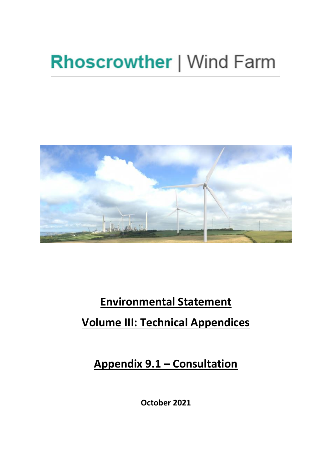# **Rhoscrowther | Wind Farm**



# **Environmental Statement Volume III: Technical Appendices**

**Appendix 9.1 – Consultation** 

**October 2021**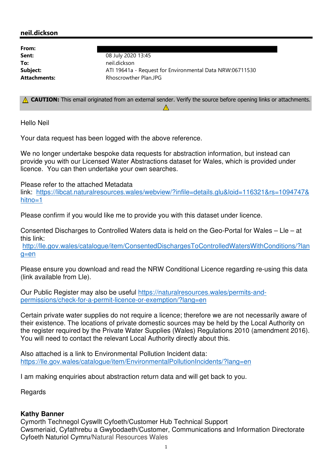# neil.dickson

| From:        |                                                          |
|--------------|----------------------------------------------------------|
| Sent:        | 08 July 2020 13:45                                       |
| To:          | neil.dickson                                             |
| Subject:     | ATI 19641a - Request for Environmental Data NRW:06711530 |
| Attachments: | Rhoscrowther Plan.JPG                                    |

A CAUTION: This email originated from an external sender. Verify the source before opening links or attachments.  $\Lambda$ 

Hello Neil

Your data request has been logged with the above reference.

 We no longer undertake bespoke data requests for abstraction information, but instead can provide you with our Licensed Water Abstractions dataset for Wales, which is provided under licence. You can then undertake your own searches.

Please refer to the attached Metadata

 link: <https://libcat.naturalresources.wales/webview/?infile=details.glu&loid=116321&rs=1094747>& hitno=1

Please confirm if you would like me to provide you with this dataset under licence.

 Consented Discharges to Controlled Waters data is held on the Geo-Portal for Wales – Lle – at this link:

<http://lle.gov.wales/catalogue/item/ConsentedDischargesToControlledWatersWithConditions/?lan>  $q=en$ 

 Please ensure you download and read the NRW Conditional Licence regarding re-using this data (link available from Lle).

Our Public Register may also be useful <https://naturalresources.wales/permits-and>permissions/check-for-a-permit-licence-or-exemption/?lang=en

 Certain private water supplies do not require a licence; therefore we are not necessarily aware of their existence. The locations of private domestic sources may be held by the Local Authority on the register required by the Private Water Supplies (Wales) Regulations 2010 (amendment 2016). You will need to contact the relevant Local Authority directly about this.

 Also attached is a link to Environmental Pollution Incident data: <https://lle.gov.wales/catalogue/item/EnvironmentalPollutionIncidents/?lang=en>

I am making enquiries about abstraction return data and will get back to you.

Regards

# **Kathy Banner**

 Cymorth Technegol Cyswllt Cyfoeth/Customer Hub Technical Support Cwsmeriaid, Cyfathrebu a Gwybodaeth/Customer, Communications and Information Directorate Cyfoeth Naturiol Cymru/Natural Resources Wales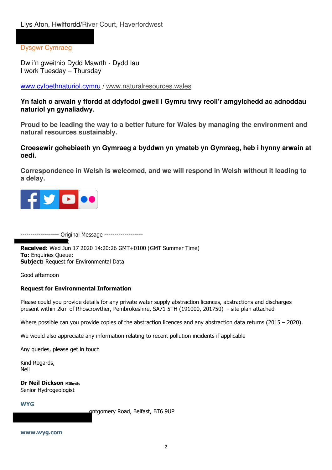Dysgwr Cymraeg

 Dw i'n gweithio Dydd Mawrth - Dydd Iau I work Tuesday – Thursday

<www.cyfoethnaturiol.cymru> /<www.naturalresources.wales>

 **Yn falch o arwain y ffordd at ddyfodol gwell i Gymru trwy reoli'r amgylchedd ac adnoddau naturiol yn gynaliadwy.** 

 **Proud to be leading the way to a better future for Wales by managing the environment and natural resources sustainably.** 

 **Croesewir gohebiaeth yn Gymraeg a byddwn yn ymateb yn Gymraeg, heb i hynny arwain at oedi.** 

 **Correspondence in Welsh is welcomed, and we will respond in Welsh without it leading to a delay.** 



------------------- Original Message -------------------

**Received:** Wed Jun 17 2020 14:20:26 GMT+0100 (GMT Summer Time) **To:** Enquiries Queue; **Subject:** Request for Environmental Data ;

Good afternoon

### Request for Environmental Information

 Please could you provide details for any private water supply abstraction licences, abstractions and discharges present within 2km of Rhoscrowther, Pembrokeshire, SA71 5TH (191000, 201750) - site plan attached

Where possible can you provide copies of the abstraction licences and any abstraction data returns (2015 – 2020).

We would also appreciate any information relating to recent pollution incidents if applicable

Any queries, please get in touch

Kind Regards, Neil

**Dr Neil Dickson MIEnvSc** Senior Hydrogeologist

#### **WYG**

ontgomery Road, Belfast, BT6 9UP

<www.wyg.com>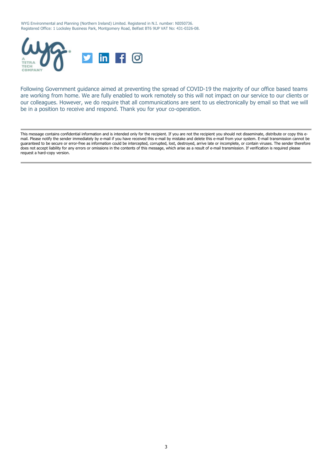WYG Environmental and Planning (Northern Ireland) Limited. Registered in N.I. number: NI050736. Registered Office: 1 Locksley Business Park, Montgomery Road, Belfast BT6 9UP VAT No: 431-0326-08.



 Following Government guidance aimed at preventing the spread of COVID-19 the majority of our office based teams are working from home. We are fully enabled to work remotely so this will not impact on our service to our clients or our colleagues. However, we do require that all communications are sent to us electronically by email so that we will be in a position to receive and respond. Thank you for your co-operation.

 This message contains confidential information and is intended only for the recipient. If you are not the recipient you should not disseminate, distribute or copy this e- mail. Please notify the sender immediately by e-mail if you have received this e-mail by mistake and delete this e-mail from your system. E-mail transmission cannot be guaranteed to be secure or error-free as information could be intercepted, corrupted, lost, destroyed, arrive late or incomplete, or contain viruses. The sender therefore does not accept liability for any errors or omissions in the contents of this message, which arise as a result of e-mail transmission. If verification is required please request a hard-copy version.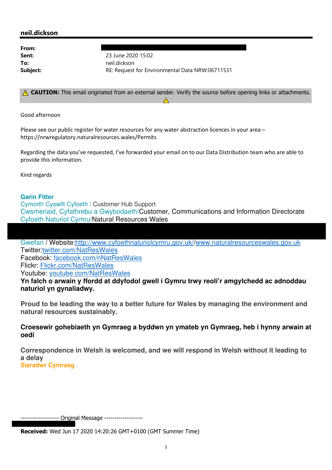# neil.dickson

From:

**Sent:** 23 June 2020 15:02 Subje t: RE: Request for Environmental Data NRW:06711531 To: neil.dickson

A CAUTION: This email originated from an external sender. Verify the source before opening links or attachments.  $\Lambda$  $\Lambda$ 

Good afternoon

Please see our public register for water resources for any water abstraction licences in your area <https://nrwregulatory.naturalresources.wales/Permits>

 Regarding the data you've requested, I've forwarded your email on to our Data Distribution team who are able to provide this information.

Kind regards

# **Garin Fitter**

 Cymorth Cyswllt Cyfoeth / Customer Hub Support Cwsmeriaid, Cyfathrebu a Gwybodaeth/Customer, Communications and Information Directorate Cyfoeth Naturiol Cymru/Natural Resources Wales

Gwefan / Website:http://www.cyfoethnaturiolcymru.gov.uk//www.naturalresourceswales.gov.uk [Twitter:twitter.com/NatResWales](https://Twitter:twitter.com/NatResWales) Facebook: [facebook.com/nNatResWales](https://facebook.com/nNatResWales) Flickr: [Flickr.com/NatResWales](https://Flickr.com/NatResWales)  Youtube: [youtube.com/NatResWales](https://youtube.com/NatResWales) 

 **Yn falch o arwain y ffordd at ddyfodol gwell i Gymru trwy reoli'r amgylchedd ac adnoddau naturiol yn gynaliadwy.** 

 **Proud to be leading the way to a better future for Wales by managing the environment and natural resources sustainably.** 

 **Croesewir gohebiaeth yn Gymraeg a byddwn yn ymateb yn Gymraeg, heb i hynny arwain at oedi** 

 **Correspondence in Welsh is welcomed, and we will respond in Welsh without it leading to a delay Siaradwr Cymraeg** 

------------------- Original Message -------------------

**Received:** Wed Jun 17 2020 14:20:26 GMT+0100 (GMT Summer Time)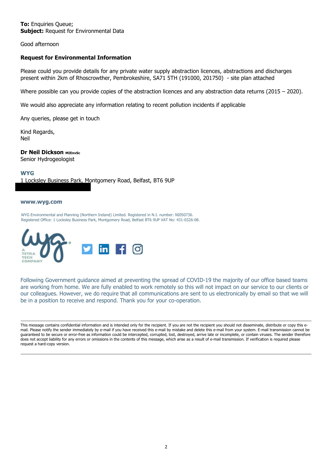**To:** Enquiries Queue; **Subject:** Request for Environmental Data

Good afternoon

#### Request for Environmental Information

 Please could you provide details for any private water supply abstraction licences, abstractions and discharges present within 2km of Rhoscrowther, Pembrokeshire, SA71 5TH (191000, 201750) - site plan attached

Where possible can you provide copies of the abstraction licences and any abstraction data returns (2015 – 2020).

We would also appreciate any information relating to recent pollution incidents if applicable

Any queries, please get in touch

Kind Regards, Neil

**Dr Neil Dickson MIEnvSc** Senior Hydrogeologist

 1 Locksley Business Park, Montgomery Road, Belfast, BT6 9UP **WYG** 

#### <www.wyg.com>

 WYG Environmental and Planning (Northern Ireland) Limited. Registered in N.I. number: NI050736. Registered Office: 1 Locksley Business Park, Montgomery Road, Belfast BT6 9UP VAT No: 431-0326-08.



 Following Government guidance aimed at preventing the spread of COVID-19 the majority of our office based teams are working from home. We are fully enabled to work remotely so this will not impact on our service to our clients or our colleagues. However, we do require that all communications are sent to us electronically by email so that we will be in a position to receive and respond. Thank you for your co-operation.

 This message contains confidential information and is intended only for the recipient. If you are not the recipient you should not disseminate, distribute or copy this e- mail. Please notify the sender immediately by e-mail if you have received this e-mail by mistake and delete this e-mail from your system. E-mail transmission cannot be guaranteed to be secure or error-free as information could be intercepted, corrupted, lost, destroyed, arrive late or incomplete, or contain viruses. The sender therefore does not accept liability for any errors or omissions in the contents of this message, which arise as a result of e-mail transmission. If verification is required please request a hard-copy version.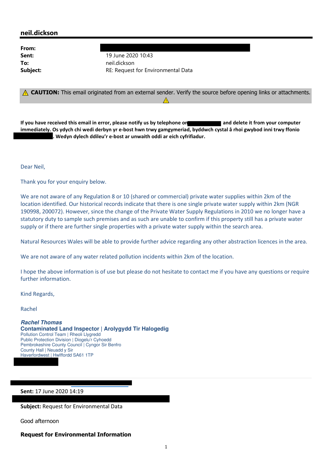## neil.dickson

From:

**Sent:** 19 June 2020 10:43 **Subject:** example a set of RE: Request for Environmental Data To: neil.dickson

 $\triangle$  CAUTION: This email originated from an external sender. Verify the source before opening links or attachments.  $\Lambda$  $\Lambda$ 

If you have received this email in error, please notify us by telephone on **and and delete it from your computer**  immediately. Os ydych chi wedi derbyn yr e-bost hwn trwy gamgymeriad, byddwch cystal â rhoi gwybod inni trwy ffonio . Wedyn dylech ddileu'r e-bost ar unwaith oddi ar eich cyfrifiadur.

Dear Neil,

Thank you for your enquiry below.

 We are not aware of any Regulation 8 or 10 (shared or commercial) private water supplies within 2km of the location identified. Our historical records indicate that there is one single private water supply within 2km (NGR 190998, 200072). However, since the change of the Private Water Supply Regulations in 2010 we no longer have a statutory duty to sample such premises and as such are unable to confirm if this property still has a private water supply or if there are further single properties with a private water supply within the search area.

Natural Resources Wales will be able to provide further advice regarding any other abstraction licences in the area.

We are not aware of any water related pollution incidents within 2km of the location.

 $\overline{\phantom{a}}$ 

 I hope the above information is of use but please do not hesitate to contact me if you have any questions or require further information.

Kind Regards,

Rachel

 **Rachel Thomas Contaminated Land Inspector | Arolygydd Tir Halogedig**  Public Protection Division | Diogelu'r Cyhoedd Pembrokeshire County Council | Cyngor Sir Benfro County Hall | Neuadd y Sir Haverfordwest | Hwlffordd SA61 1TP Pollution Control Team | Rheoli Llygredd

#### Sent: 17 June 2020 14:19

Subject: Request for Environmental Data

Good afternoon

#### Request for Environmental Information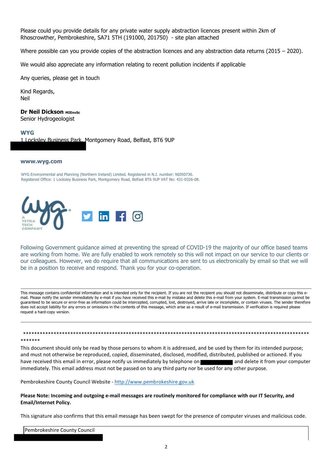Please could you provide details for any private water supply abstraction licences present within 2km of Rhoscrowther, Pembrokeshire, SA71 5TH (191000, 201750) - site plan attached

Where possible can you provide copies of the abstraction licences and any abstraction data returns (2015 – 2020).

We would also appreciate any information relating to recent pollution incidents if applicable

Any queries, please get in touch

 Kind Regards, Neil

#### **Dr Neil Dickson MIEnvSc**

Senior Hydrogeologist

#### **WYG**

\*\*\*\*\*\*\*

1 Locksley Business Park, Montgomery Road, Belfast, BT6 9UP

#### <www.wyg.com>

 WYG Environmental and Planning (Northern Ireland) Limited. Registered in N.I. number: NI050736. Registered Office: 1 Locksley Business Park, Montgomery Road, Belfast BT6 9UP VAT No: 431-0326-08.



 Following Government guidance aimed at preventing the spread of COVID-19 the majority of our office based teams are working from home. We are fully enabled to work remotely so this will not impact on our service to our clients or our colleagues. However, we do require that all communications are sent to us electronically by email so that we will be in a position to receive and respond. Thank you for your co-operation.

 This message contains confidential information and is intended only for the recipient. If you are not the recipient you should not disseminate, distribute or copy this e- mail. Please notify the sender immediately by e-mail if you have received this e-mail by mistake and delete this e-mail from your system. E-mail transmission cannot be guaranteed to be secure or error-free as information could be intercepted, corrupted, lost, destroyed, arrive late or incomplete, or contain viruses. The sender therefore does not accept liability for any errors or omissions in the contents of this message, which arise as a result of e-mail transmission. If verification is required please request a hard-copy version.

 This document should only be read by those persons to whom it is addressed, and be used by them for its intended purpose; and must not otherwise be reproduced, copied, disseminated, disclosed, modified, distributed, published or actioned. If you have received this email in error, please notify us immediately by telephone on **and and delete it from your computer** immediately. This email address must not be passed on to any third party nor be used for any other purpose.

\*\*\*\*\*\*\*\*\*\*\*\*\*\*\*\*\*\*\*\*\*\*\*\*\*\*\*\*\*\*\*\*\*\*\*\*\*\*\*\*\*\*\*\*\*\*\*\*\*\*\*\*\*\*\*\*\*\*\*\*\*\*\*\*\*\*\*\*\*\*\*\*\*\*\*\*\*\*\*\*\*\*\*\*\*\*\*\*\*\*\*\*\*\*\*\*\*\*\*\*\*\*\*

Pembrokeshire County Council Website - http://www.pembrokeshire.gov.uk

 Please Note: Incoming and outgoing e-mail messages are routinely monitored for compliance with our IT Security, and Email/Internet Policy.

This signature also confirms that this email message has been swept for the presence of computer viruses and malicious code.

Pembrokeshire County Council